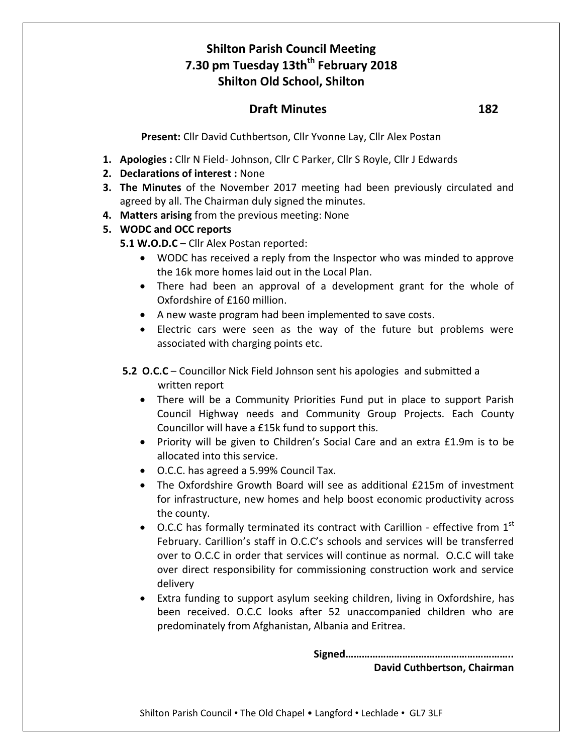# **Shilton Parish Council Meeting 7.30 pm Tuesday 13thth February 2018 Shilton Old School, Shilton**

## **Draft Minutes 182**

**Present:** Cllr David Cuthbertson, Cllr Yvonne Lay, Cllr Alex Postan

- **1. Apologies :** Cllr N Field- Johnson, Cllr C Parker, Cllr S Royle, Cllr J Edwards
- **2. Declarations of interest :** None
- **3. The Minutes** of the November 2017 meeting had been previously circulated and agreed by all. The Chairman duly signed the minutes.
- **4. Matters arising** from the previous meeting: None

### **5. WODC and OCC reports**

**5.1 W.O.D.C** – Cllr Alex Postan reported:

- WODC has received a reply from the Inspector who was minded to approve the 16k more homes laid out in the Local Plan.
- There had been an approval of a development grant for the whole of Oxfordshire of £160 million.
- A new waste program had been implemented to save costs.
- Electric cars were seen as the way of the future but problems were associated with charging points etc.
- **5.2 O.C.C** Councillor Nick Field Johnson sent his apologies and submitted a written report
	- There will be a Community Priorities Fund put in place to support Parish Council Highway needs and Community Group Projects. Each County Councillor will have a £15k fund to support this.
	- Priority will be given to Children's Social Care and an extra £1.9m is to be allocated into this service.
	- O.C.C. has agreed a 5.99% Council Tax.
	- The Oxfordshire Growth Board will see as additional £215m of investment for infrastructure, new homes and help boost economic productivity across the county.
	- O.C.C has formally terminated its contract with Carillion effective from  $1<sup>st</sup>$ February. Carillion's staff in O.C.C's schools and services will be transferred over to O.C.C in order that services will continue as normal. O.C.C will take over direct responsibility for commissioning construction work and service delivery
	- Extra funding to support asylum seeking children, living in Oxfordshire, has been received. O.C.C looks after 52 unaccompanied children who are predominately from Afghanistan, Albania and Eritrea.

**Signed……………………………………………………..**

**David Cuthbertson, Chairman**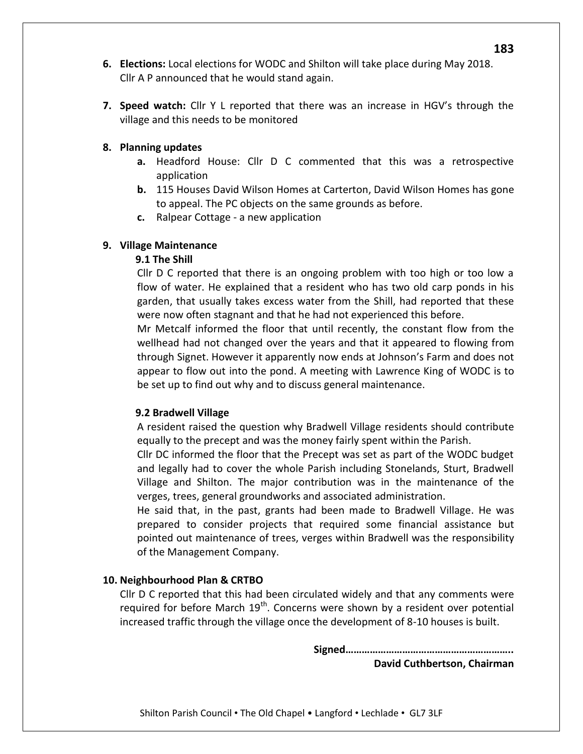- **6. Elections:** Local elections for WODC and Shilton will take place during May 2018. Cllr A P announced that he would stand again.
- **7. Speed watch:** Cllr Y L reported that there was an increase in HGV's through the village and this needs to be monitored

#### **8. Planning updates**

- **a.** Headford House: Cllr D C commented that this was a retrospective application
- **b.** 115 Houses David Wilson Homes at Carterton, David Wilson Homes has gone to appeal. The PC objects on the same grounds as before.
- **c.** Ralpear Cottage a new application

#### **9. Village Maintenance**

#### **9.1 The Shill**

Cllr D C reported that there is an ongoing problem with too high or too low a flow of water. He explained that a resident who has two old carp ponds in his garden, that usually takes excess water from the Shill, had reported that these were now often stagnant and that he had not experienced this before.

Mr Metcalf informed the floor that until recently, the constant flow from the wellhead had not changed over the years and that it appeared to flowing from through Signet. However it apparently now ends at Johnson's Farm and does not appear to flow out into the pond. A meeting with Lawrence King of WODC is to be set up to find out why and to discuss general maintenance.

#### **9.2 Bradwell Village**

A resident raised the question why Bradwell Village residents should contribute equally to the precept and was the money fairly spent within the Parish.

Cllr DC informed the floor that the Precept was set as part of the WODC budget and legally had to cover the whole Parish including Stonelands, Sturt, Bradwell Village and Shilton. The major contribution was in the maintenance of the verges, trees, general groundworks and associated administration.

He said that, in the past, grants had been made to Bradwell Village. He was prepared to consider projects that required some financial assistance but pointed out maintenance of trees, verges within Bradwell was the responsibility of the Management Company.

#### **10. Neighbourhood Plan & CRTBO**

Cllr D C reported that this had been circulated widely and that any comments were required for before March  $19<sup>th</sup>$ . Concerns were shown by a resident over potential increased traffic through the village once the development of 8-10 houses is built.

> **Signed…………………………………………………….. David Cuthbertson, Chairman**